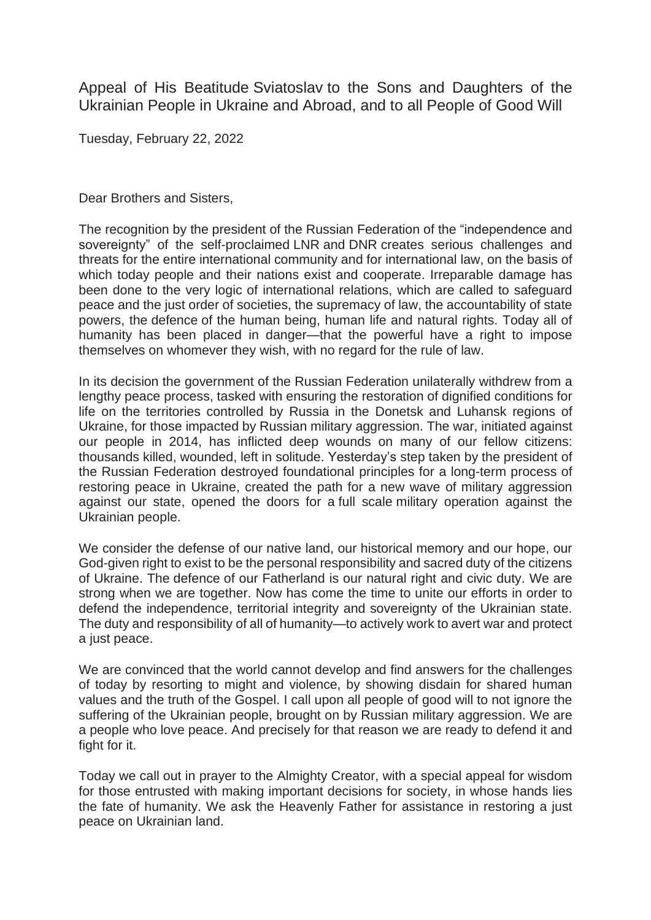Appeal of His Beatitude Sviatoslav to the Sons and Daughters of the Ukrainian People in Ukraine and Abroad, and to all People of Good Will

Tuesday, February 22, 2022

Dear Brothers and Sisters,

The recognition by the president of the Russian Federation of the "independence and sovereignty" of the self-proclaimed LNR and DNR creates serious challenges and threats for the entire international community and for international law, on the basis of which today people and their nations exist and cooperate. Irreparable damage has been done to the very logic of international relations, which are called to safeguard peace and the just order of societies, the supremacy of law, the accountability of state powers, the defence of the human being, human life and natural rights. Today all of humanity has been placed in danger—that the powerful have a right to impose themselves on whomever they wish, with no regard for the rule of law.

In its decision the government of the Russian Federation unilaterally withdrew from a lengthy peace process, tasked with ensuring the restoration of dignified conditions for life on the territories controlled by Russia in the Donetsk and Luhansk regions of Ukraine, for those impacted by Russian military aggression. The war, initiated against our people in 2014, has inflicted deep wounds on many of our fellow citizens: thousands killed, wounded, left in solitude. Yesterday's step taken by the president of the Russian Federation destroyed foundational principles for a long-term process of restoring peace in Ukraine, created the path for a new wave of military aggression against our state, opened the doors for a full scale military operation against the Ukrainian people.

We consider the defense of our native land, our historical memory and our hope, our God-given right to exist to be the personal responsibility and sacred duty of the citizens of Ukraine. The defence of our Fatherland is our natural right and civic duty. We are strong when we are together. Now has come the time to unite our efforts in order to defend the independence, territorial integrity and sovereignty of the Ukrainian state. The duty and responsibility of all of humanity—to actively work to avert war and protect a just peace.

We are convinced that the world cannot develop and find answers for the challenges of today by resorting to might and violence, by showing disdain for shared human values and the truth of the Gospel. I call upon all people of good will to not ignore the suffering of the Ukrainian people, brought on by Russian military aggression. We are a people who love peace. And precisely for that reason we are ready to defend it and fight for it.

Today we call out in prayer to the Almighty Creator, with a special appeal for wisdom for those entrusted with making important decisions for society, in whose hands lies the fate of humanity. We ask the Heavenly Father for assistance in restoring a just peace on Ukrainian land.